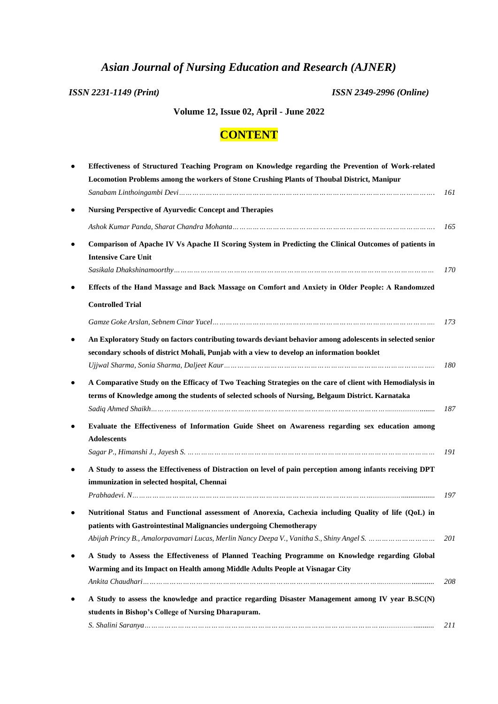## *Asian Journal of Nursing Education and Research (AJNER)*

*ISSN 2231-1149 (Print) ISSN 2349-2996 (Online)*

## **Volume 12, Issue 02, April - June 2022**

## **CONTENT**

| Effectiveness of Structured Teaching Program on Knowledge regarding the Prevention of Work-related                                   |
|--------------------------------------------------------------------------------------------------------------------------------------|
| Locomotion Problems among the workers of Stone Crushing Plants of Thoubal District, Manipur                                          |
| <b>Nursing Perspective of Ayurvedic Concept and Therapies</b>                                                                        |
|                                                                                                                                      |
|                                                                                                                                      |
| Comparison of Apache IV Vs Apache II Scoring System in Predicting the Clinical Outcomes of patients in<br><b>Intensive Care Unit</b> |
|                                                                                                                                      |
| Effects of the Hand Massage and Back Massage on Comfort and Anxiety in Older People: A Randomized                                    |
| <b>Controlled Trial</b>                                                                                                              |
|                                                                                                                                      |
| An Exploratory Study on factors contributing towards deviant behavior among adolescents in selected senior                           |
| secondary schools of district Mohali, Punjab with a view to develop an information booklet                                           |
|                                                                                                                                      |
| A Comparative Study on the Efficacy of Two Teaching Strategies on the care of client with Hemodialysis in                            |
| terms of Knowledge among the students of selected schools of Nursing, Belgaum District. Karnataka                                    |
|                                                                                                                                      |
| Evaluate the Effectiveness of Information Guide Sheet on Awareness regarding sex education among<br><b>Adolescents</b>               |
|                                                                                                                                      |
| A Study to assess the Effectiveness of Distraction on level of pain perception among infants receiving DPT                           |
| immunization in selected hospital, Chennai                                                                                           |
| Prabhadevi. N                                                                                                                        |
| Nutritional Status and Functional assessment of Anorexia, Cachexia including Quality of life (QoL) in                                |
| patients with Gastrointestinal Malignancies undergoing Chemotherapy                                                                  |
|                                                                                                                                      |
| A Study to Assess the Effectiveness of Planned Teaching Programme on Knowledge regarding Global                                      |
| Warming and its Impact on Health among Middle Adults People at Visnagar City                                                         |
|                                                                                                                                      |
| A Study to assess the knowledge and practice regarding Disaster Management among IV year B.SC(N)                                     |
| students in Bishop's College of Nursing Dharapuram.                                                                                  |
|                                                                                                                                      |